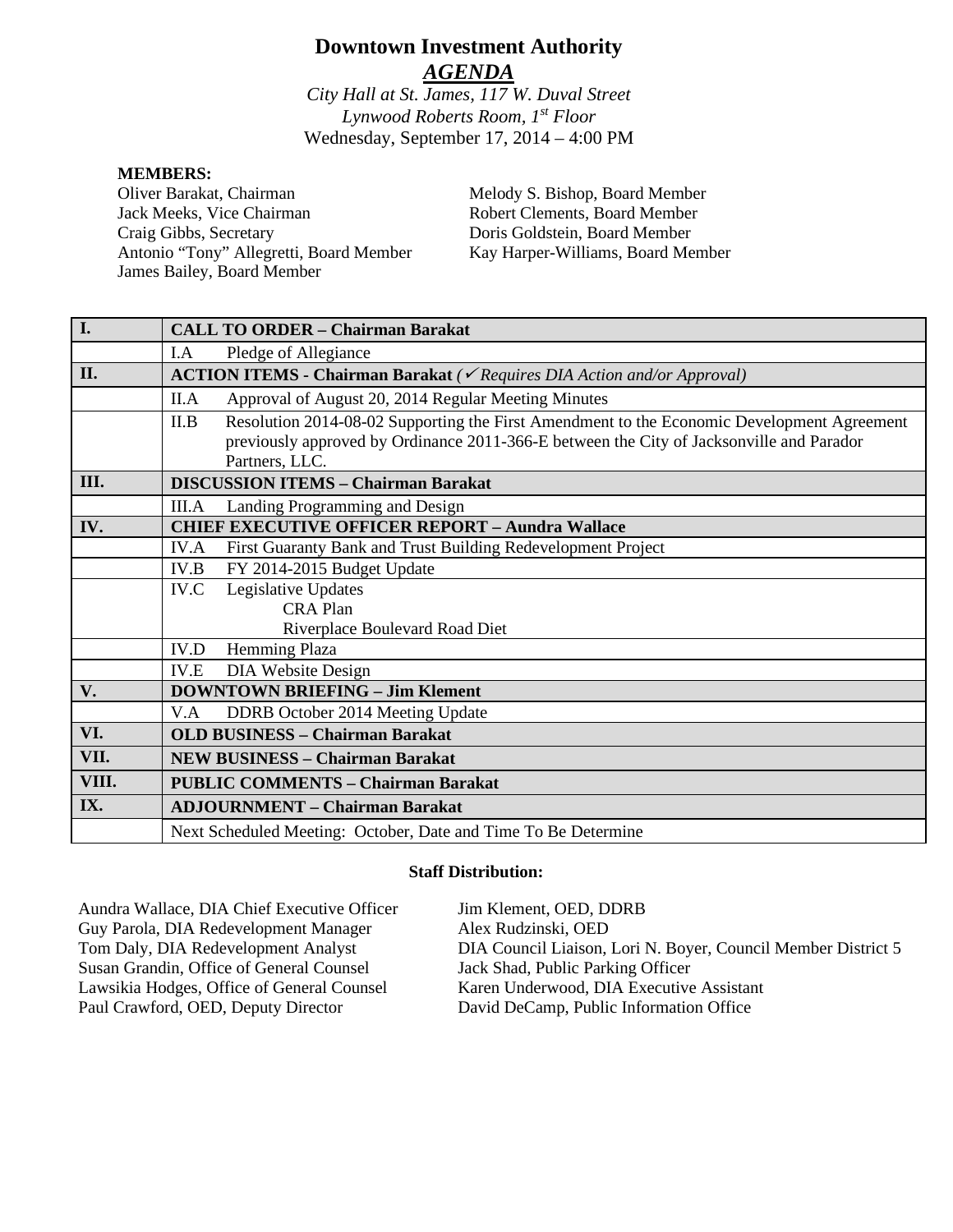# **Downtown Investment Authority** *AGENDA*

*City Hall at St. James, 117 W. Duval Street Lynwood Roberts Room, 1st Floor* Wednesday, September 17, 2014 – 4:00 PM

#### **MEMBERS:**

Oliver Barakat, Chairman Jack Meeks, Vice Chairman Craig Gibbs, Secretary Antonio "Tony" Allegretti, Board Member James Bailey, Board Member

Melody S. Bishop, Board Member Robert Clements, Board Member Doris Goldstein, Board Member Kay Harper-Williams, Board Member

| I.    | <b>CALL TO ORDER - Chairman Barakat</b>                                                                                                                                                                          |
|-------|------------------------------------------------------------------------------------------------------------------------------------------------------------------------------------------------------------------|
|       | I.A<br>Pledge of Allegiance                                                                                                                                                                                      |
| II.   | <b>ACTION ITEMS - Chairman Barakat</b> ( $\checkmark$ Requires DIA Action and/or Approval)                                                                                                                       |
|       | Approval of August 20, 2014 Regular Meeting Minutes<br>II.A                                                                                                                                                      |
|       | Resolution 2014-08-02 Supporting the First Amendment to the Economic Development Agreement<br>II.B<br>previously approved by Ordinance 2011-366-E between the City of Jacksonville and Parador<br>Partners, LLC. |
| III.  | <b>DISCUSSION ITEMS - Chairman Barakat</b>                                                                                                                                                                       |
|       | Landing Programming and Design<br>III.A                                                                                                                                                                          |
| IV.   | <b>CHIEF EXECUTIVE OFFICER REPORT - Aundra Wallace</b>                                                                                                                                                           |
|       | First Guaranty Bank and Trust Building Redevelopment Project<br><b>IV.A</b>                                                                                                                                      |
|       | FY 2014-2015 Budget Update<br>IV.B                                                                                                                                                                               |
|       | Legislative Updates<br>IV.C                                                                                                                                                                                      |
|       | <b>CRA Plan</b>                                                                                                                                                                                                  |
|       | Riverplace Boulevard Road Diet                                                                                                                                                                                   |
|       | Hemming Plaza<br>IV.D                                                                                                                                                                                            |
|       | DIA Website Design<br>IV.E                                                                                                                                                                                       |
| V.    | <b>DOWNTOWN BRIEFING - Jim Klement</b>                                                                                                                                                                           |
|       | V.A<br>DDRB October 2014 Meeting Update                                                                                                                                                                          |
| VI.   | <b>OLD BUSINESS - Chairman Barakat</b>                                                                                                                                                                           |
| VII.  | <b>NEW BUSINESS - Chairman Barakat</b>                                                                                                                                                                           |
| VIII. | <b>PUBLIC COMMENTS - Chairman Barakat</b>                                                                                                                                                                        |
| IX.   | <b>ADJOURNMENT - Chairman Barakat</b>                                                                                                                                                                            |
|       | Next Scheduled Meeting: October, Date and Time To Be Determine                                                                                                                                                   |

#### **Staff Distribution:**

Aundra Wallace, DIA Chief Executive Officer Guy Parola, DIA Redevelopment Manager Tom Daly, DIA Redevelopment Analyst Susan Grandin, Office of General Counsel Lawsikia Hodges, Office of General Counsel Paul Crawford, OED, Deputy Director

Jim Klement, OED, DDRB Alex Rudzinski, OED DIA Council Liaison, Lori N. Boyer, Council Member District 5 Jack Shad, Public Parking Officer Karen Underwood, DIA Executive Assistant David DeCamp, Public Information Office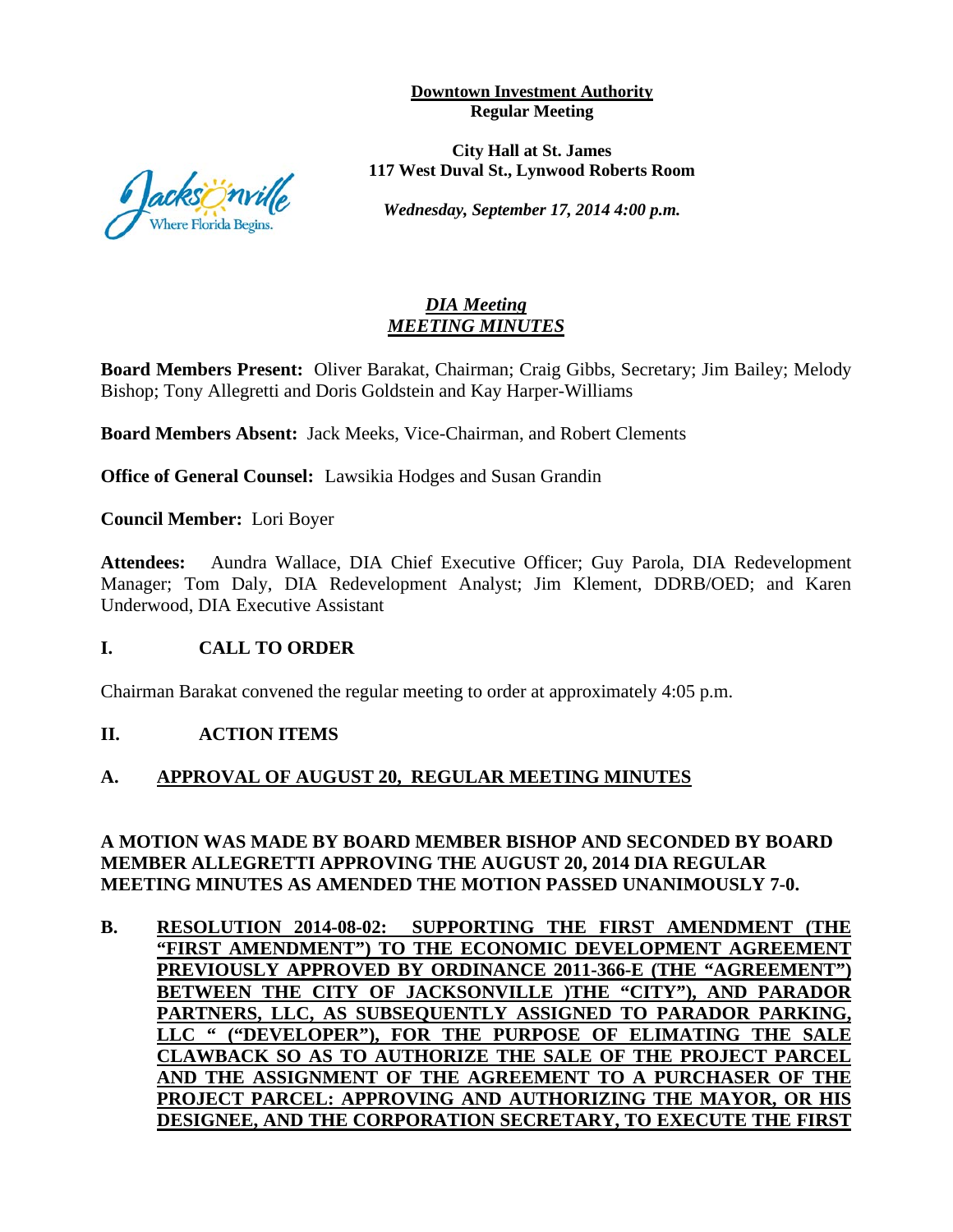**Downtown Investment Authority Regular Meeting** 

**City Hall at St. James 117 West Duval St., Lynwood Roberts Room**

*Wednesday, September 17, 2014 4:00 p.m.*

## *DIA Meeting MEETING MINUTES*

**Board Members Present:** Oliver Barakat, Chairman; Craig Gibbs, Secretary; Jim Bailey; Melody Bishop; Tony Allegretti and Doris Goldstein and Kay Harper-Williams

**Board Members Absent:** Jack Meeks, Vice-Chairman, and Robert Clements

**Office of General Counsel:** Lawsikia Hodges and Susan Grandin

**Council Member:** Lori Boyer

**Attendees:** Aundra Wallace, DIA Chief Executive Officer; Guy Parola, DIA Redevelopment Manager; Tom Daly, DIA Redevelopment Analyst; Jim Klement, DDRB/OED; and Karen Underwood, DIA Executive Assistant

## **I. CALL TO ORDER**

Chairman Barakat convened the regular meeting to order at approximately 4:05 p.m.

#### **II. ACTION ITEMS**

## **A. APPROVAL OF AUGUST 20, REGULAR MEETING MINUTES**

#### **A MOTION WAS MADE BY BOARD MEMBER BISHOP AND SECONDED BY BOARD MEMBER ALLEGRETTI APPROVING THE AUGUST 20, 2014 DIA REGULAR MEETING MINUTES AS AMENDED THE MOTION PASSED UNANIMOUSLY 7-0.**

**B. RESOLUTION 2014-08-02: SUPPORTING THE FIRST AMENDMENT (THE "FIRST AMENDMENT") TO THE ECONOMIC DEVELOPMENT AGREEMENT PREVIOUSLY APPROVED BY ORDINANCE 2011-366-E (THE "AGREEMENT") BETWEEN THE CITY OF JACKSONVILLE )THE "CITY"), AND PARADOR PARTNERS, LLC, AS SUBSEQUENTLY ASSIGNED TO PARADOR PARKING, LLC " ("DEVELOPER"), FOR THE PURPOSE OF ELIMATING THE SALE CLAWBACK SO AS TO AUTHORIZE THE SALE OF THE PROJECT PARCEL AND THE ASSIGNMENT OF THE AGREEMENT TO A PURCHASER OF THE PROJECT PARCEL: APPROVING AND AUTHORIZING THE MAYOR, OR HIS DESIGNEE, AND THE CORPORATION SECRETARY, TO EXECUTE THE FIRST** 

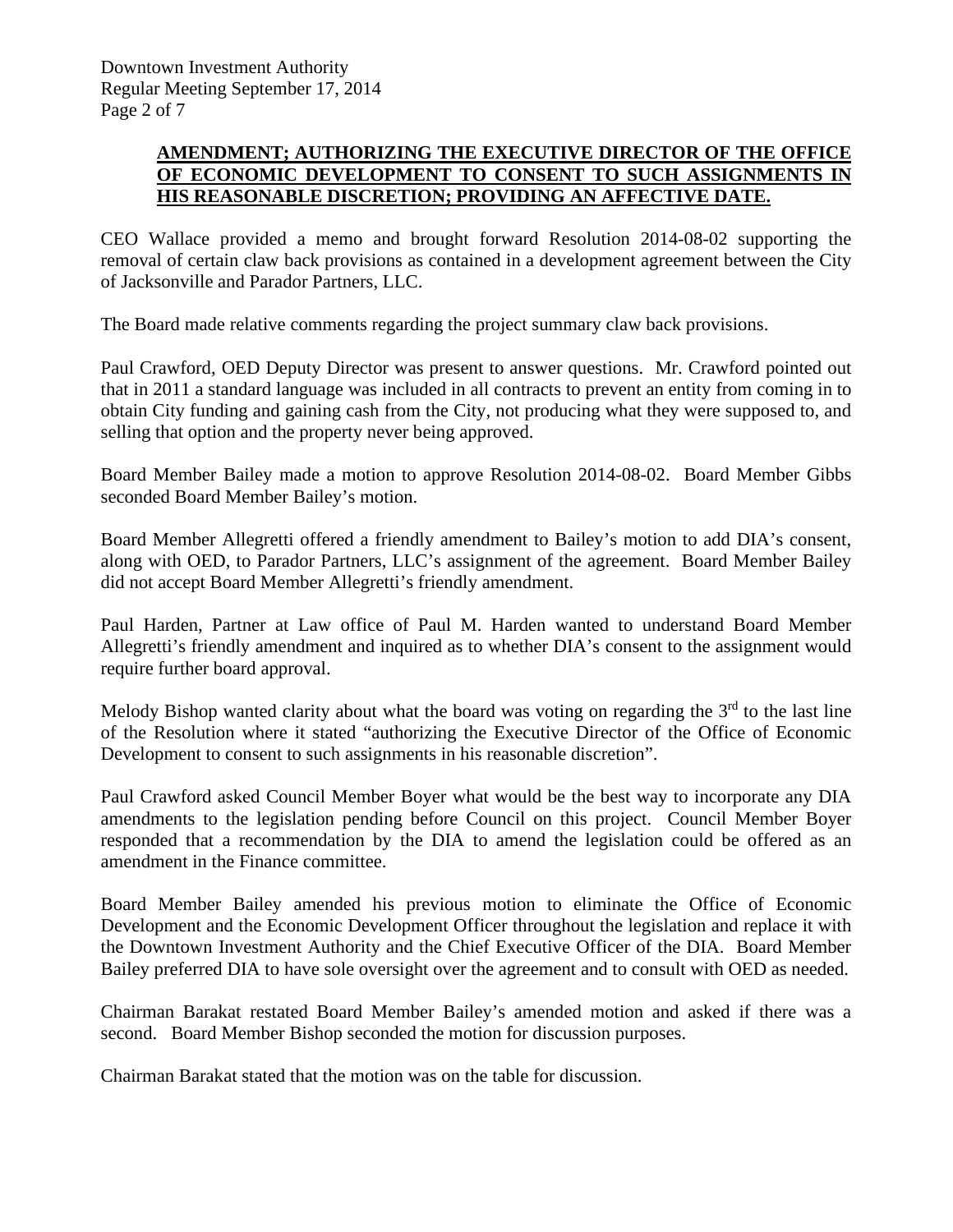## **AMENDMENT; AUTHORIZING THE EXECUTIVE DIRECTOR OF THE OFFICE OF ECONOMIC DEVELOPMENT TO CONSENT TO SUCH ASSIGNMENTS IN HIS REASONABLE DISCRETION; PROVIDING AN AFFECTIVE DATE.**

CEO Wallace provided a memo and brought forward Resolution 2014-08-02 supporting the removal of certain claw back provisions as contained in a development agreement between the City of Jacksonville and Parador Partners, LLC.

The Board made relative comments regarding the project summary claw back provisions.

Paul Crawford, OED Deputy Director was present to answer questions. Mr. Crawford pointed out that in 2011 a standard language was included in all contracts to prevent an entity from coming in to obtain City funding and gaining cash from the City, not producing what they were supposed to, and selling that option and the property never being approved.

Board Member Bailey made a motion to approve Resolution 2014-08-02. Board Member Gibbs seconded Board Member Bailey's motion.

Board Member Allegretti offered a friendly amendment to Bailey's motion to add DIA's consent, along with OED, to Parador Partners, LLC's assignment of the agreement. Board Member Bailey did not accept Board Member Allegretti's friendly amendment.

Paul Harden, Partner at Law office of Paul M. Harden wanted to understand Board Member Allegretti's friendly amendment and inquired as to whether DIA's consent to the assignment would require further board approval.

Melody Bishop wanted clarity about what the board was voting on regarding the  $3<sup>rd</sup>$  to the last line of the Resolution where it stated "authorizing the Executive Director of the Office of Economic Development to consent to such assignments in his reasonable discretion".

Paul Crawford asked Council Member Boyer what would be the best way to incorporate any DIA amendments to the legislation pending before Council on this project. Council Member Boyer responded that a recommendation by the DIA to amend the legislation could be offered as an amendment in the Finance committee.

Board Member Bailey amended his previous motion to eliminate the Office of Economic Development and the Economic Development Officer throughout the legislation and replace it with the Downtown Investment Authority and the Chief Executive Officer of the DIA. Board Member Bailey preferred DIA to have sole oversight over the agreement and to consult with OED as needed.

Chairman Barakat restated Board Member Bailey's amended motion and asked if there was a second. Board Member Bishop seconded the motion for discussion purposes.

Chairman Barakat stated that the motion was on the table for discussion.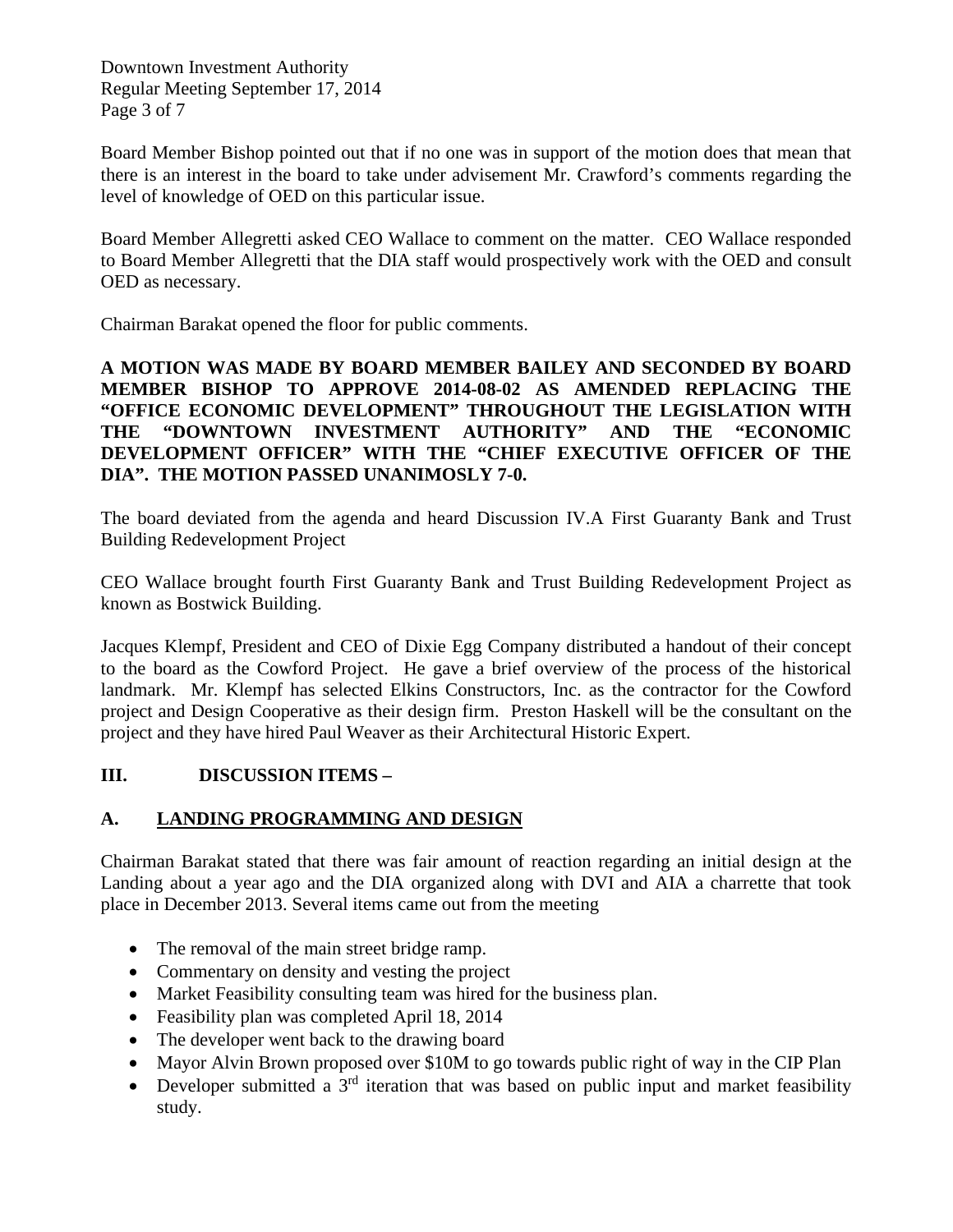Downtown Investment Authority Regular Meeting September 17, 2014 Page 3 of 7

Board Member Bishop pointed out that if no one was in support of the motion does that mean that there is an interest in the board to take under advisement Mr. Crawford's comments regarding the level of knowledge of OED on this particular issue.

Board Member Allegretti asked CEO Wallace to comment on the matter. CEO Wallace responded to Board Member Allegretti that the DIA staff would prospectively work with the OED and consult OED as necessary.

Chairman Barakat opened the floor for public comments.

**A MOTION WAS MADE BY BOARD MEMBER BAILEY AND SECONDED BY BOARD MEMBER BISHOP TO APPROVE 2014-08-02 AS AMENDED REPLACING THE "OFFICE ECONOMIC DEVELOPMENT" THROUGHOUT THE LEGISLATION WITH THE "DOWNTOWN INVESTMENT AUTHORITY" AND THE "ECONOMIC DEVELOPMENT OFFICER" WITH THE "CHIEF EXECUTIVE OFFICER OF THE DIA". THE MOTION PASSED UNANIMOSLY 7-0.**

The board deviated from the agenda and heard Discussion IV.A First Guaranty Bank and Trust Building Redevelopment Project

CEO Wallace brought fourth First Guaranty Bank and Trust Building Redevelopment Project as known as Bostwick Building.

Jacques Klempf, President and CEO of Dixie Egg Company distributed a handout of their concept to the board as the Cowford Project. He gave a brief overview of the process of the historical landmark. Mr. Klempf has selected Elkins Constructors, Inc. as the contractor for the Cowford project and Design Cooperative as their design firm. Preston Haskell will be the consultant on the project and they have hired Paul Weaver as their Architectural Historic Expert.

## **III. DISCUSSION ITEMS –**

## **A. LANDING PROGRAMMING AND DESIGN**

Chairman Barakat stated that there was fair amount of reaction regarding an initial design at the Landing about a year ago and the DIA organized along with DVI and AIA a charrette that took place in December 2013. Several items came out from the meeting

- The removal of the main street bridge ramp.
- Commentary on density and vesting the project
- Market Feasibility consulting team was hired for the business plan.
- Feasibility plan was completed April 18, 2014
- The developer went back to the drawing board
- Mayor Alvin Brown proposed over \$10M to go towards public right of way in the CIP Plan
- Developer submitted a  $3<sup>rd</sup>$  iteration that was based on public input and market feasibility study.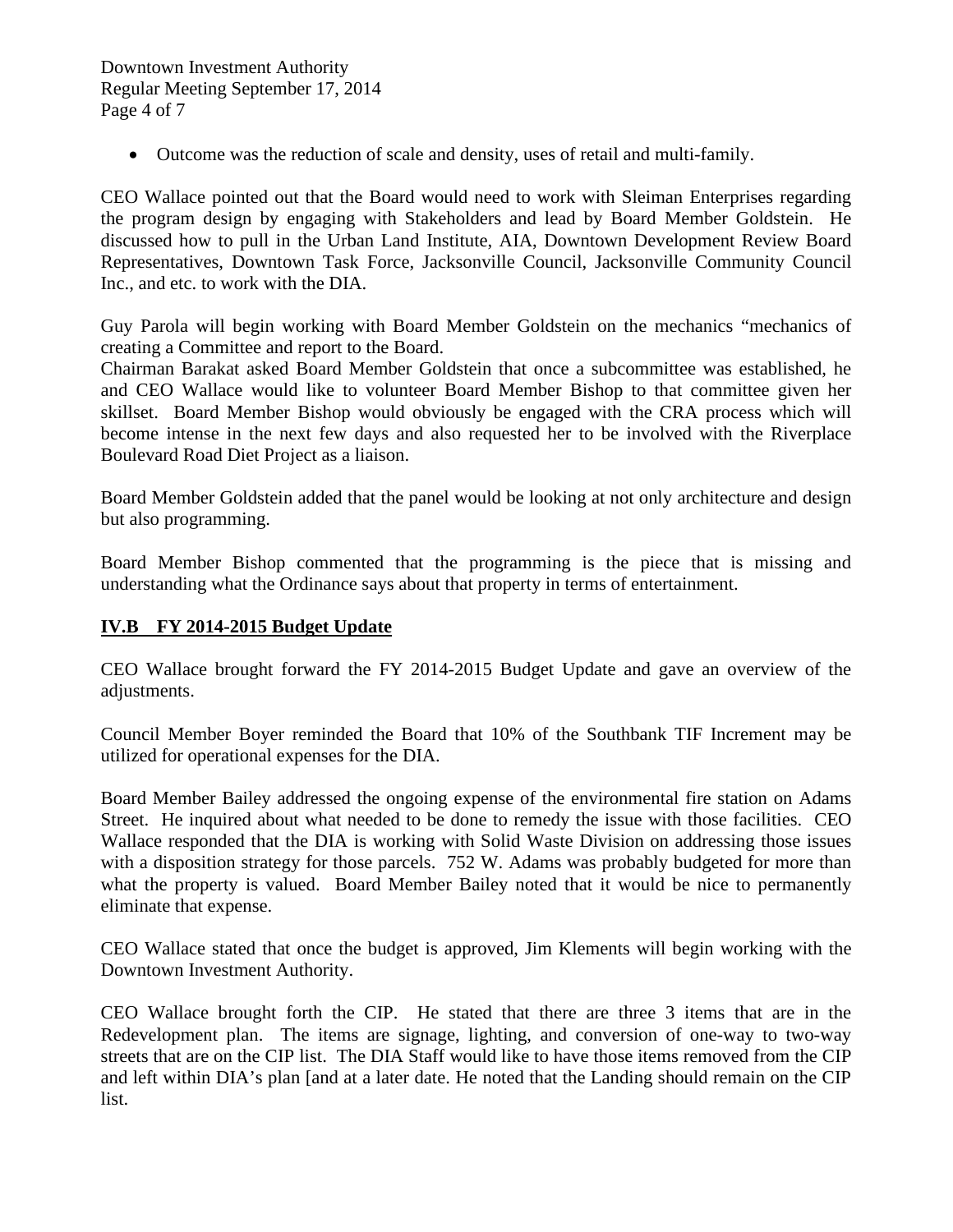• Outcome was the reduction of scale and density, uses of retail and multi-family.

CEO Wallace pointed out that the Board would need to work with Sleiman Enterprises regarding the program design by engaging with Stakeholders and lead by Board Member Goldstein. He discussed how to pull in the Urban Land Institute, AIA, Downtown Development Review Board Representatives, Downtown Task Force, Jacksonville Council, Jacksonville Community Council Inc., and etc. to work with the DIA.

Guy Parola will begin working with Board Member Goldstein on the mechanics "mechanics of creating a Committee and report to the Board.

Chairman Barakat asked Board Member Goldstein that once a subcommittee was established, he and CEO Wallace would like to volunteer Board Member Bishop to that committee given her skillset. Board Member Bishop would obviously be engaged with the CRA process which will become intense in the next few days and also requested her to be involved with the Riverplace Boulevard Road Diet Project as a liaison.

Board Member Goldstein added that the panel would be looking at not only architecture and design but also programming.

Board Member Bishop commented that the programming is the piece that is missing and understanding what the Ordinance says about that property in terms of entertainment.

## **IV.B FY 2014-2015 Budget Update**

CEO Wallace brought forward the FY 2014-2015 Budget Update and gave an overview of the adjustments.

Council Member Boyer reminded the Board that 10% of the Southbank TIF Increment may be utilized for operational expenses for the DIA.

Board Member Bailey addressed the ongoing expense of the environmental fire station on Adams Street. He inquired about what needed to be done to remedy the issue with those facilities. CEO Wallace responded that the DIA is working with Solid Waste Division on addressing those issues with a disposition strategy for those parcels. 752 W. Adams was probably budgeted for more than what the property is valued. Board Member Bailey noted that it would be nice to permanently eliminate that expense.

CEO Wallace stated that once the budget is approved, Jim Klements will begin working with the Downtown Investment Authority.

CEO Wallace brought forth the CIP. He stated that there are three 3 items that are in the Redevelopment plan. The items are signage, lighting, and conversion of one-way to two-way streets that are on the CIP list. The DIA Staff would like to have those items removed from the CIP and left within DIA's plan [and at a later date. He noted that the Landing should remain on the CIP list.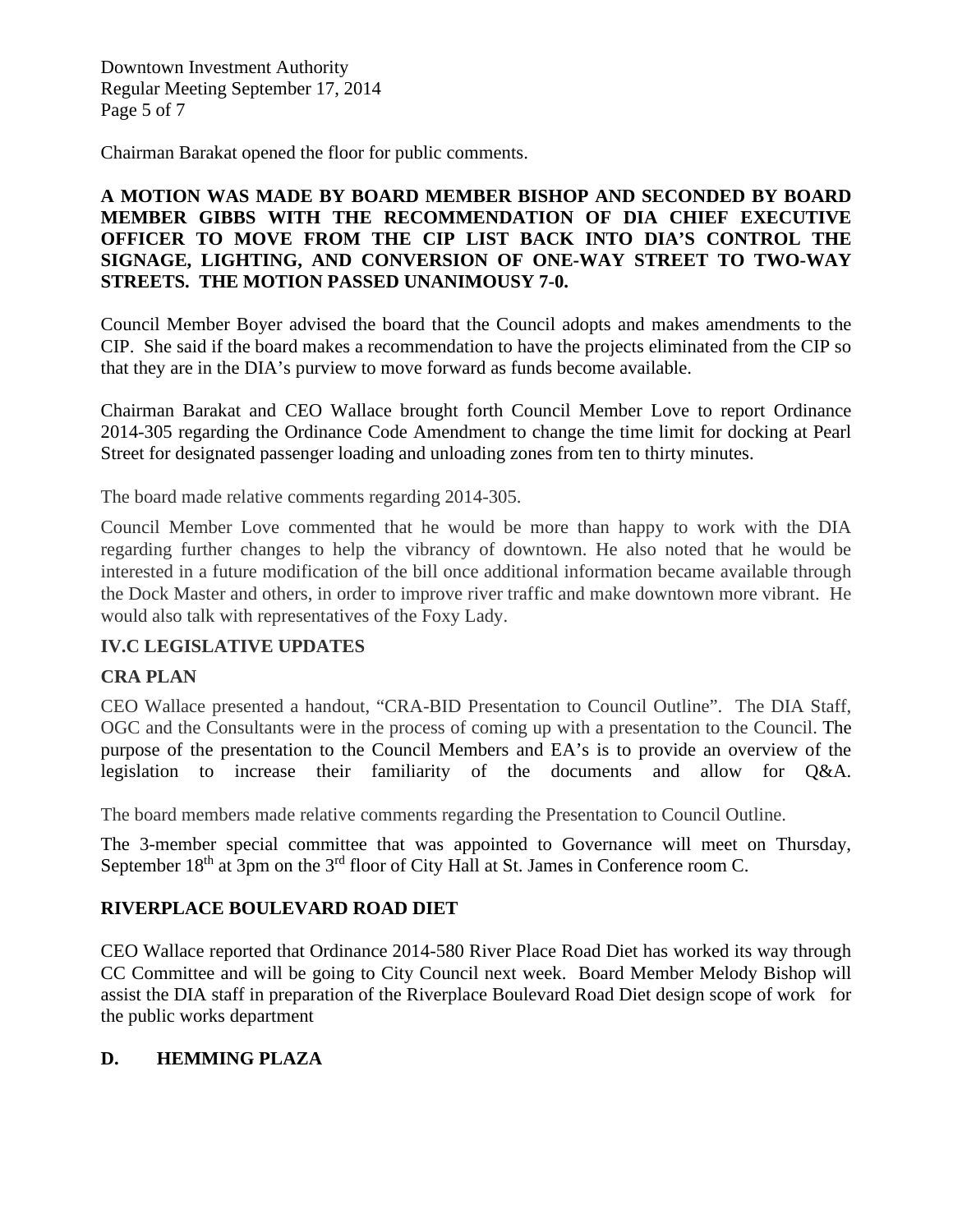Downtown Investment Authority Regular Meeting September 17, 2014 Page 5 of 7

Chairman Barakat opened the floor for public comments.

## **A MOTION WAS MADE BY BOARD MEMBER BISHOP AND SECONDED BY BOARD MEMBER GIBBS WITH THE RECOMMENDATION OF DIA CHIEF EXECUTIVE OFFICER TO MOVE FROM THE CIP LIST BACK INTO DIA'S CONTROL THE SIGNAGE, LIGHTING, AND CONVERSION OF ONE-WAY STREET TO TWO-WAY STREETS. THE MOTION PASSED UNANIMOUSY 7-0.**

Council Member Boyer advised the board that the Council adopts and makes amendments to the CIP. She said if the board makes a recommendation to have the projects eliminated from the CIP so that they are in the DIA's purview to move forward as funds become available.

Chairman Barakat and CEO Wallace brought forth Council Member Love to report Ordinance 2014-305 regarding the Ordinance Code Amendment to change the time limit for docking at Pearl Street for designated passenger loading and unloading zones from ten to thirty minutes.

The board made relative comments regarding 2014-305.

Council Member Love commented that he would be more than happy to work with the DIA regarding further changes to help the vibrancy of downtown. He also noted that he would be interested in a future modification of the bill once additional information became available through the Dock Master and others, in order to improve river traffic and make downtown more vibrant. He would also talk with representatives of the Foxy Lady.

## **IV.C LEGISLATIVE UPDATES**

#### **CRA PLAN**

CEO Wallace presented a handout, "CRA-BID Presentation to Council Outline". The DIA Staff, OGC and the Consultants were in the process of coming up with a presentation to the Council. The purpose of the presentation to the Council Members and EA's is to provide an overview of the legislation to increase their familiarity of the documents and allow for Q&A.

The board members made relative comments regarding the Presentation to Council Outline.

The 3-member special committee that was appointed to Governance will meet on Thursday, September  $18<sup>th</sup>$  at 3pm on the  $3<sup>rd</sup>$  floor of City Hall at St. James in Conference room C.

#### **RIVERPLACE BOULEVARD ROAD DIET**

CEO Wallace reported that Ordinance 2014-580 River Place Road Diet has worked its way through CC Committee and will be going to City Council next week. Board Member Melody Bishop will assist the DIA staff in preparation of the Riverplace Boulevard Road Diet design scope of work for the public works department

## **D. HEMMING PLAZA**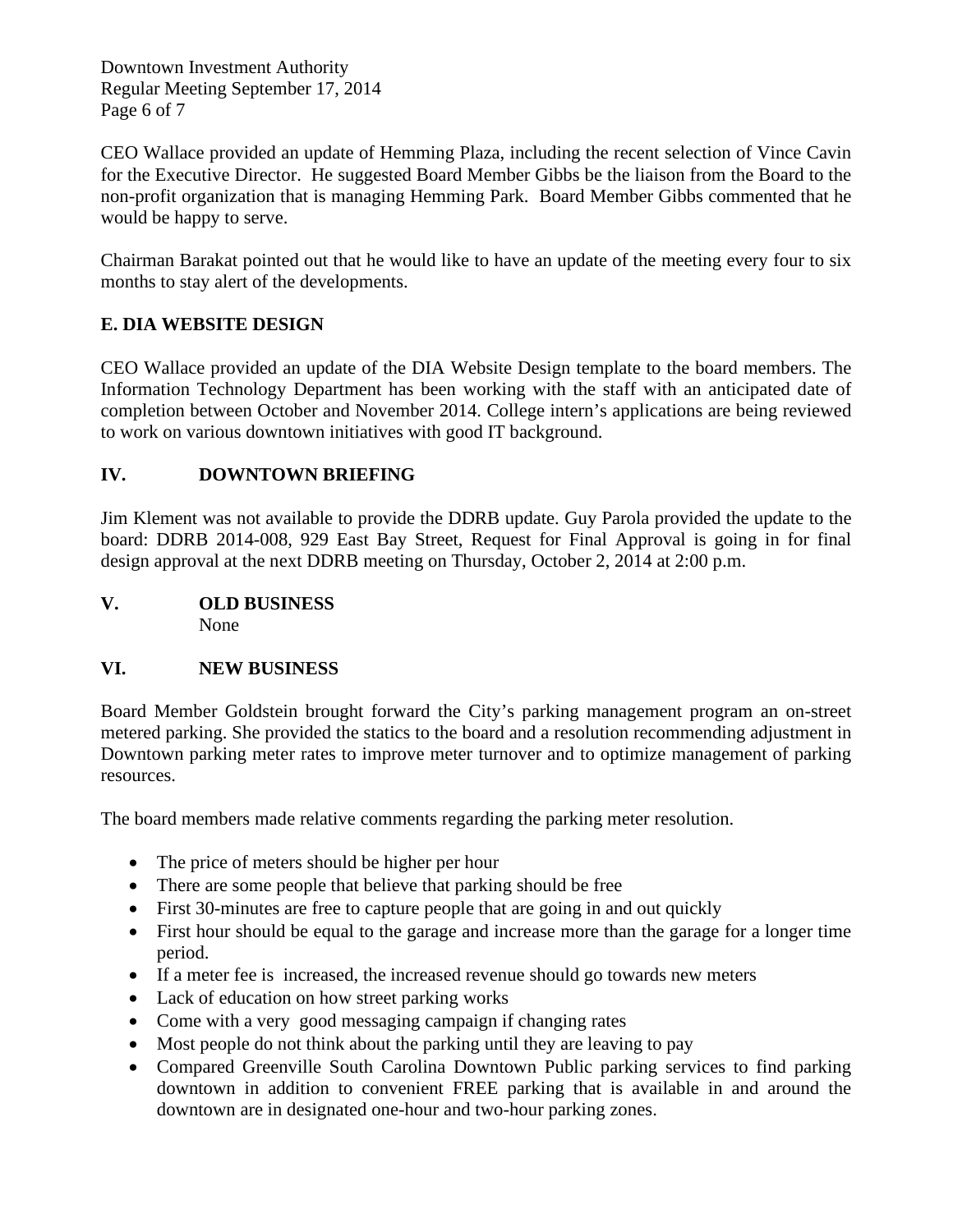Downtown Investment Authority Regular Meeting September 17, 2014 Page 6 of 7

CEO Wallace provided an update of Hemming Plaza, including the recent selection of Vince Cavin for the Executive Director. He suggested Board Member Gibbs be the liaison from the Board to the non-profit organization that is managing Hemming Park. Board Member Gibbs commented that he would be happy to serve.

Chairman Barakat pointed out that he would like to have an update of the meeting every four to six months to stay alert of the developments.

## **E. DIA WEBSITE DESIGN**

CEO Wallace provided an update of the DIA Website Design template to the board members. The Information Technology Department has been working with the staff with an anticipated date of completion between October and November 2014. College intern's applications are being reviewed to work on various downtown initiatives with good IT background.

## **IV. DOWNTOWN BRIEFING**

Jim Klement was not available to provide the DDRB update. Guy Parola provided the update to the board: DDRB 2014-008, 929 East Bay Street, Request for Final Approval is going in for final design approval at the next DDRB meeting on Thursday, October 2, 2014 at 2:00 p.m.

**V. OLD BUSINESS** None

## **VI. NEW BUSINESS**

Board Member Goldstein brought forward the City's parking management program an on-street metered parking. She provided the statics to the board and a resolution recommending adjustment in Downtown parking meter rates to improve meter turnover and to optimize management of parking resources.

The board members made relative comments regarding the parking meter resolution.

- The price of meters should be higher per hour
- There are some people that believe that parking should be free
- First 30-minutes are free to capture people that are going in and out quickly
- First hour should be equal to the garage and increase more than the garage for a longer time period.
- If a meter fee is increased, the increased revenue should go towards new meters
- Lack of education on how street parking works
- Come with a very good messaging campaign if changing rates
- Most people do not think about the parking until they are leaving to pay
- Compared Greenville South Carolina Downtown Public parking services to find parking downtown in addition to convenient FREE parking that is available in and around the downtown are in designated one-hour and two-hour parking zones.